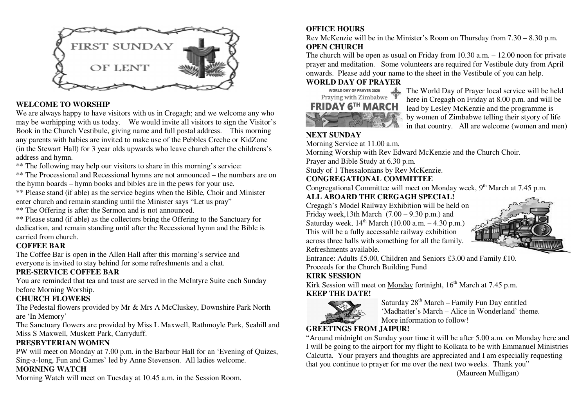

### **WELCOME TO WORSHIP**

 We are always happy to have visitors with us in Cregagh; and we welcome any who may be worhipping with us today. We would invite all visitors to sign the Visitor's Book in the Church Vestibule, giving name and full postal address. This morning any parents with babies are invited to make use of the Pebbles Creche or KidZone (in the Stewart Hall) for 3 year olds upwards who leave church after the childrens's address and hymn.

\*\* The following may help our visitors to share in this morning's service:

 \*\* The Processional and Recessional hymns are not announced – the numbers are on the hymn boards – hymn books and bibles are in the pews for your use.

 \*\* Please stand (if able) as the service begins when the Bible, Choir and Minister enter church and remain standing until the Minister says "Let us pray"

\*\* The Offering is after the Sermon and is not announced.

 \*\* Please stand (if able) as the collectors bring the Offering to the Sanctuary for dedication, and remain standing until after the Recessional hymn and the Bible is carried from church.

#### **COFFEE BAR**

The Coffee Bar is open in the Allen Hall after this morning's service and everyone is invited to stay behind for some refreshments and a chat.

#### **PRE-SERVICE COFFEE BAR**

 You are reminded that tea and toast are served in the McIntyre Suite each Sunday before Morning Worship.

# **CHURCH FLOWERS**

 The Pedestal flowers provided by Mr & Mrs A McCluskey, Downshire Park North are 'In Memory'

 The Sanctuary flowers are provided by Miss L Maxwell, Rathmoyle Park, Seahill and Miss S Maxwell, Muskett Park, Carryduff.

# **PRESBYTERIAN WOMEN**

 PW will meet on Monday at 7.00 p.m. in the Barbour Hall for an 'Evening of Quizes, Sing-a-long, Fun and Games' led by Anne Stevenson. All ladies welcome.

# **MORNING WATCH**

Morning Watch will meet on Tuesday at 10.45 a.m. in the Session Room.

# **OFFICE HOURS**

 Rev McKenzie will be in the Minister's Room on Thursday from 7.30 – 8.30 p.m. **OPEN CHURCH** 

 The church will be open as usual on Friday from 10.30 a.m. – 12.00 noon for private prayer and meditation. Some volunteers are required for Vestibule duty from April onwards. Please add your name to the sheet in the Vestibule of you can help.

#### **WORLD DAY OF PRAYER**



WORLD DAY OF PRAYER 2020<br>
Praying with Zimbabwe<br>  $\frac{A}{T}$  The World Day of Prayer local service will be held<br>
Praying with Zimbabwe<br>  $\frac{A}{T}$  here in Crossoph on Friday at 8.00 n m, and will be Praying with Zimbabwe  $\frac{W}{2}$  here in Cregagh on Friday at 8.00 p.m. and will be **FRIDAY 6<sup>TH</sup> MARCH** lead by Lesley McKenzie and the programme is by women of Zimbabwe telling their styory of life **in that country.** All are welcome (women and men)

# **NEXT SUNDAY**

Morning Service at 11.00 a.m.

Morning Worship with Rev Edward McKenzie and the Church Choir.

Prayer and Bible Study at 6.30 p.m.

Study of 1 Thessalonians by Rev McKenzie.

**CONGREGATIONAL COMMITTEE** 

Congregational Committee will meet on Monday week,  $9<sup>th</sup>$  March at 7.45 p.m.

# **ALL ABOARD THE CREGAGH SPECIAL!**

 Cregagh's Model Railway Exhibition will be held on Friday week,13th March  $(7.00 - 9.30 \text{ p.m.})$  and Saturday week,  $14<sup>th</sup>$  March (10.00 a.m.  $-4.30$  p.m.) This will be a fully accessable railway exhibition across three halls with something for all the family. Refreshments available.



Entrance: Adults £5.00, Children and Seniors £3.00 and Family £10. Proceeds for the Church Building Fund

# **KIRK SESSION**

Kirk Session will meet on Monday fortnight, 16<sup>th</sup> March at 7.45 p.m. **KEEP THE DATE!** 



Saturday  $28<sup>th</sup> March - Family Fun Day entitled$  'Madhatter's March – Alice in Wonderland' theme. More information to follow!

# **GREETINGS FROM JAIPUR!**

 "Around midnight on Sunday your time it will be after 5.00 a.m. on Monday here and I will be going to the airport for my flight to Kolkata to be with Emmanuel Ministries Calcutta. Your prayers and thoughts are appreciated and I am especially requesting that you continue to prayer for me over the next two weeks. Thank you"

(Maureen Mulligan)